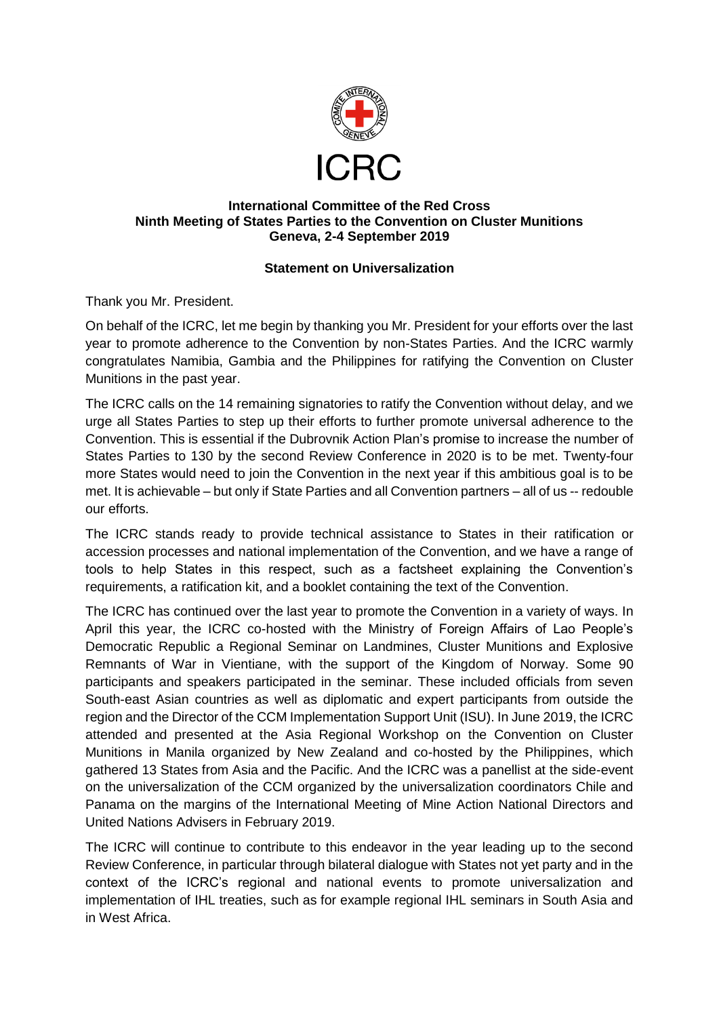

## **International Committee of the Red Cross Ninth Meeting of States Parties to the Convention on Cluster Munitions Geneva, 2-4 September 2019**

## **Statement on Universalization**

Thank you Mr. President.

On behalf of the ICRC, let me begin by thanking you Mr. President for your efforts over the last year to promote adherence to the Convention by non-States Parties. And the ICRC warmly congratulates Namibia, Gambia and the Philippines for ratifying the Convention on Cluster Munitions in the past year.

The ICRC calls on the 14 remaining signatories to ratify the Convention without delay, and we urge all States Parties to step up their efforts to further promote universal adherence to the Convention. This is essential if the Dubrovnik Action Plan's promise to increase the number of States Parties to 130 by the second Review Conference in 2020 is to be met. Twenty-four more States would need to join the Convention in the next year if this ambitious goal is to be met. It is achievable – but only if State Parties and all Convention partners – all of us -- redouble our efforts.

The ICRC stands ready to provide technical assistance to States in their ratification or accession processes and national implementation of the Convention, and we have a range of tools to help States in this respect, such as a factsheet explaining the Convention's requirements, a ratification kit, and a booklet containing the text of the Convention.

The ICRC has continued over the last year to promote the Convention in a variety of ways. In April this year, the ICRC co-hosted with the Ministry of Foreign Affairs of Lao People's Democratic Republic a Regional Seminar on Landmines, Cluster Munitions and Explosive Remnants of War in Vientiane, with the support of the Kingdom of Norway. Some 90 participants and speakers participated in the seminar. These included officials from seven South-east Asian countries as well as diplomatic and expert participants from outside the region and the Director of the CCM Implementation Support Unit (ISU). In June 2019, the ICRC attended and presented at the Asia Regional Workshop on the Convention on Cluster Munitions in Manila organized by New Zealand and co-hosted by the Philippines, which gathered 13 States from Asia and the Pacific. And the ICRC was a panellist at the side-event on the universalization of the CCM organized by the universalization coordinators Chile and Panama on the margins of the International Meeting of Mine Action National Directors and United Nations Advisers in February 2019.

The ICRC will continue to contribute to this endeavor in the year leading up to the second Review Conference, in particular through bilateral dialogue with States not yet party and in the context of the ICRC's regional and national events to promote universalization and implementation of IHL treaties, such as for example regional IHL seminars in South Asia and in West Africa.